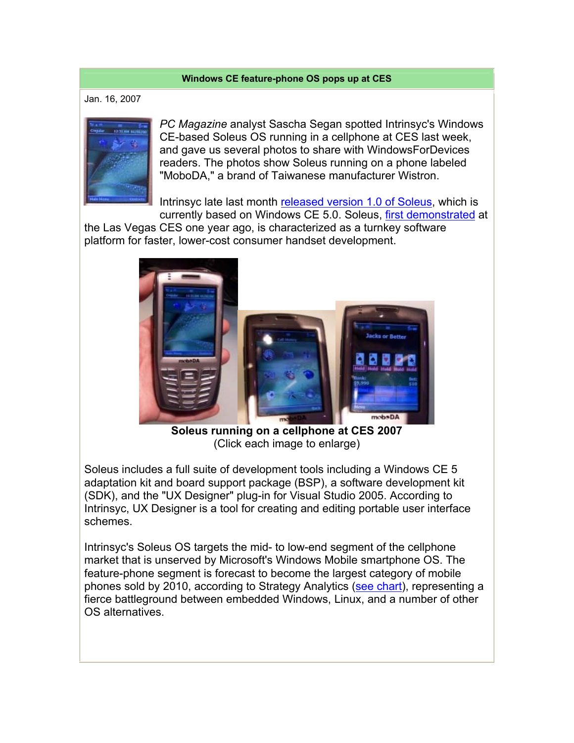## **Windows CE feature-phone OS pops up at CES**

Jan. 16, 2007



*PC Magazine* analyst Sascha Segan spotted Intrinsyc's Windows CE-based Soleus OS running in a cellphone at CES last week, and gave us several photos to share with WindowsForDevices readers. The photos show Soleus running on a phone labeled "MoboDA," a brand of Taiwanese manufacturer Wistron.

Intrinsyc late last month released version 1.0 of Soleus, which is

currently based on Windows CE 5.0. Soleus, first demonstrated at the Las Vegas CES one year ago, is characterized as a turnkey software platform for faster, lower-cost consumer handset development.



**Soleus running on a cellphone at CES 2007** (Click each image to enlarge)

Soleus includes a full suite of development tools including a Windows CE 5 adaptation kit and board support package (BSP), a software development kit (SDK), and the "UX Designer" plug-in for Visual Studio 2005. According to Intrinsyc, UX Designer is a tool for creating and editing portable user interface schemes.

Intrinsyc's Soleus OS targets the mid- to low-end segment of the cellphone market that is unserved by Microsoft's Windows Mobile smartphone OS. The feature-phone segment is forecast to become the largest category of mobile phones sold by 2010, according to Strategy Analytics (see chart), representing a fierce battleground between embedded Windows, Linux, and a number of other OS alternatives.